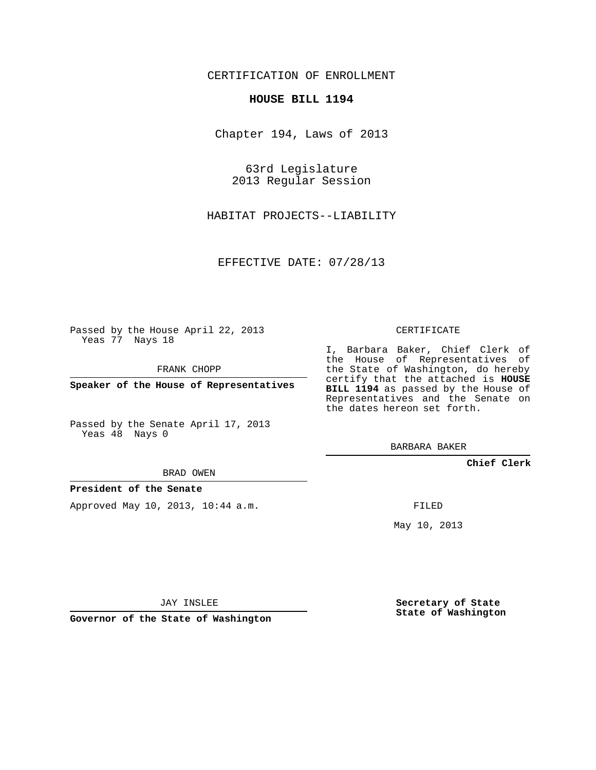CERTIFICATION OF ENROLLMENT

## **HOUSE BILL 1194**

Chapter 194, Laws of 2013

63rd Legislature 2013 Regular Session

HABITAT PROJECTS--LIABILITY

EFFECTIVE DATE: 07/28/13

Passed by the House April 22, 2013 Yeas 77 Nays 18

FRANK CHOPP

**Speaker of the House of Representatives**

Passed by the Senate April 17, 2013 Yeas 48 Nays 0

BRAD OWEN

**President of the Senate**

Approved May 10, 2013, 10:44 a.m.

CERTIFICATE

I, Barbara Baker, Chief Clerk of the House of Representatives of the State of Washington, do hereby certify that the attached is **HOUSE BILL 1194** as passed by the House of Representatives and the Senate on the dates hereon set forth.

BARBARA BAKER

**Chief Clerk**

FILED

May 10, 2013

JAY INSLEE

**Governor of the State of Washington**

**Secretary of State State of Washington**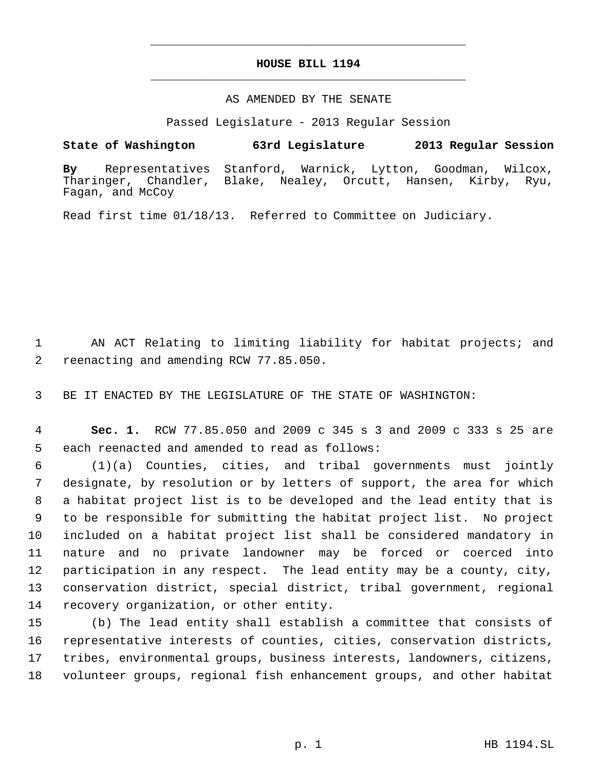## **HOUSE BILL 1194** \_\_\_\_\_\_\_\_\_\_\_\_\_\_\_\_\_\_\_\_\_\_\_\_\_\_\_\_\_\_\_\_\_\_\_\_\_\_\_\_\_\_\_\_\_

\_\_\_\_\_\_\_\_\_\_\_\_\_\_\_\_\_\_\_\_\_\_\_\_\_\_\_\_\_\_\_\_\_\_\_\_\_\_\_\_\_\_\_\_\_

## AS AMENDED BY THE SENATE

Passed Legislature - 2013 Regular Session

## **State of Washington 63rd Legislature 2013 Regular Session**

**By** Representatives Stanford, Warnick, Lytton, Goodman, Wilcox, Blake, Nealey, Orcutt, Hansen, Kirby, Ryu, Fagan, and McCoy

Read first time 01/18/13. Referred to Committee on Judiciary.

 AN ACT Relating to limiting liability for habitat projects; and reenacting and amending RCW 77.85.050.

BE IT ENACTED BY THE LEGISLATURE OF THE STATE OF WASHINGTON:

 **Sec. 1.** RCW 77.85.050 and 2009 c 345 s 3 and 2009 c 333 s 25 are each reenacted and amended to read as follows:

 (1)(a) Counties, cities, and tribal governments must jointly designate, by resolution or by letters of support, the area for which a habitat project list is to be developed and the lead entity that is to be responsible for submitting the habitat project list. No project included on a habitat project list shall be considered mandatory in nature and no private landowner may be forced or coerced into participation in any respect. The lead entity may be a county, city, conservation district, special district, tribal government, regional recovery organization, or other entity.

 (b) The lead entity shall establish a committee that consists of representative interests of counties, cities, conservation districts, tribes, environmental groups, business interests, landowners, citizens, volunteer groups, regional fish enhancement groups, and other habitat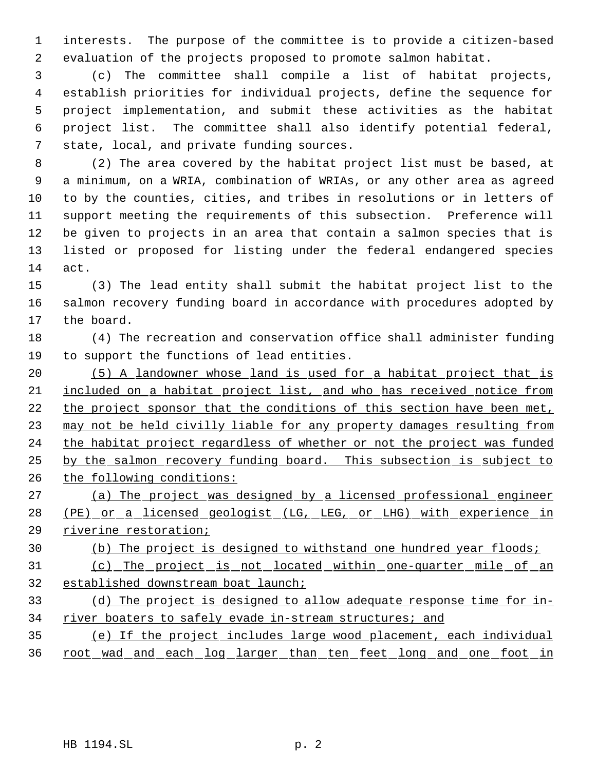interests. The purpose of the committee is to provide a citizen-based evaluation of the projects proposed to promote salmon habitat.

 (c) The committee shall compile a list of habitat projects, establish priorities for individual projects, define the sequence for project implementation, and submit these activities as the habitat project list. The committee shall also identify potential federal, state, local, and private funding sources.

 (2) The area covered by the habitat project list must be based, at a minimum, on a WRIA, combination of WRIAs, or any other area as agreed to by the counties, cities, and tribes in resolutions or in letters of support meeting the requirements of this subsection. Preference will be given to projects in an area that contain a salmon species that is listed or proposed for listing under the federal endangered species act.

 (3) The lead entity shall submit the habitat project list to the salmon recovery funding board in accordance with procedures adopted by the board.

 (4) The recreation and conservation office shall administer funding to support the functions of lead entities.

 (5) A landowner whose land is used for a habitat project that is included on a habitat project list, and who has received notice from the project sponsor that the conditions of this section have been met, may not be held civilly liable for any property damages resulting from 24 the habitat project regardless of whether or not the project was funded by the salmon recovery funding board. This subsection is subject to the following conditions:

 (a) The project was designed by a licensed professional engineer (PE) or a licensed geologist (LG, LEG, or LHG) with experience in riverine restoration;

(b) The project is designed to withstand one hundred year floods;

 (c) The project is not located within one-quarter mile of an established downstream boat launch;

 (d) The project is designed to allow adequate response time for in-34 river boaters to safely evade in-stream structures; and

 (e) If the project includes large wood placement, each individual root wad and each log larger than ten feet long and one foot in